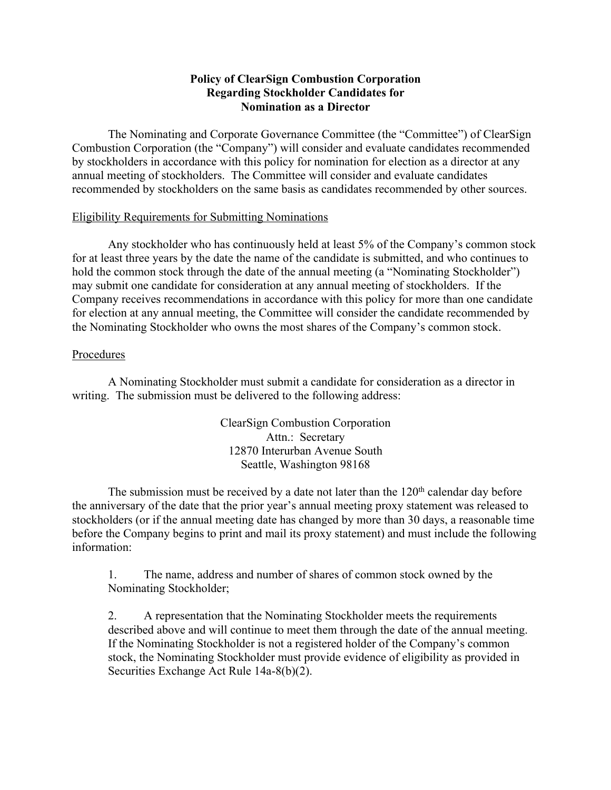## **Policy of ClearSign Combustion Corporation Regarding Stockholder Candidates for Nomination as a Director**

The Nominating and Corporate Governance Committee (the "Committee") of ClearSign Combustion Corporation (the "Company") will consider and evaluate candidates recommended by stockholders in accordance with this policy for nomination for election as a director at any annual meeting of stockholders. The Committee will consider and evaluate candidates recommended by stockholders on the same basis as candidates recommended by other sources.

## Eligibility Requirements for Submitting Nominations

Any stockholder who has continuously held at least 5% of the Company's common stock for at least three years by the date the name of the candidate is submitted, and who continues to hold the common stock through the date of the annual meeting (a "Nominating Stockholder") may submit one candidate for consideration at any annual meeting of stockholders. If the Company receives recommendations in accordance with this policy for more than one candidate for election at any annual meeting, the Committee will consider the candidate recommended by the Nominating Stockholder who owns the most shares of the Company's common stock.

## Procedures

A Nominating Stockholder must submit a candidate for consideration as a director in writing. The submission must be delivered to the following address:

> ClearSign Combustion Corporation Attn.: Secretary 12870 Interurban Avenue South Seattle, Washington 98168

The submission must be received by a date not later than the  $120<sup>th</sup>$  calendar day before the anniversary of the date that the prior year's annual meeting proxy statement was released to stockholders (or if the annual meeting date has changed by more than 30 days, a reasonable time before the Company begins to print and mail its proxy statement) and must include the following information:

1. The name, address and number of shares of common stock owned by the Nominating Stockholder;

2. A representation that the Nominating Stockholder meets the requirements described above and will continue to meet them through the date of the annual meeting. If the Nominating Stockholder is not a registered holder of the Company's common stock, the Nominating Stockholder must provide evidence of eligibility as provided in Securities Exchange Act Rule 14a-8(b)(2).